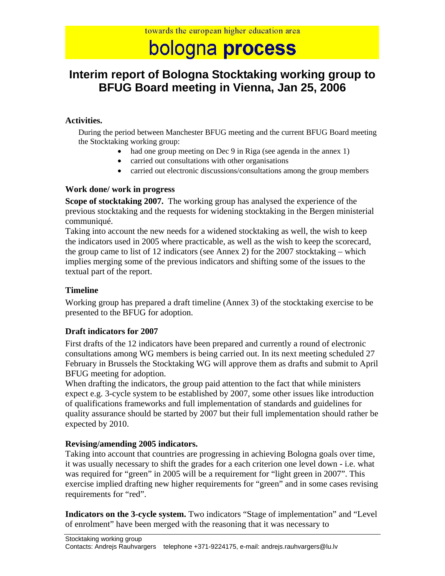# bologna process

# **Interim report of Bologna Stocktaking working group to BFUG Board meeting in Vienna, Jan 25, 2006**

#### **Activities.**

During the period between Manchester BFUG meeting and the current BFUG Board meeting the Stocktaking working group:

- had one group meeting on Dec 9 in Riga (see agenda in the annex 1)
- carried out consultations with other organisations
- carried out electronic discussions/consultations among the group members

#### **Work done/ work in progress**

**Scope of stocktaking 2007.** The working group has analysed the experience of the previous stocktaking and the requests for widening stocktaking in the Bergen ministerial communiqué.

Taking into account the new needs for a widened stocktaking as well, the wish to keep the indicators used in 2005 where practicable, as well as the wish to keep the scorecard, the group came to list of 12 indicators (see Annex 2) for the 2007 stocktaking – which implies merging some of the previous indicators and shifting some of the issues to the textual part of the report.

#### **Timeline**

Working group has prepared a draft timeline (Annex 3) of the stocktaking exercise to be presented to the BFUG for adoption.

### **Draft indicators for 2007**

First drafts of the 12 indicators have been prepared and currently a round of electronic consultations among WG members is being carried out. In its next meeting scheduled 27 February in Brussels the Stocktaking WG will approve them as drafts and submit to April BFUG meeting for adoption.

When drafting the indicators, the group paid attention to the fact that while ministers expect e.g. 3-cycle system to be established by 2007, some other issues like introduction of qualifications frameworks and full implementation of standards and guidelines for quality assurance should be started by 2007 but their full implementation should rather be expected by 2010.

### **Revising/amending 2005 indicators.**

Taking into account that countries are progressing in achieving Bologna goals over time, it was usually necessary to shift the grades for a each criterion one level down - i.e. what was required for "green" in 2005 will be a requirement for "light green in 2007". This exercise implied drafting new higher requirements for "green" and in some cases revising requirements for "red".

**Indicators on the 3-cycle system.** Two indicators "Stage of implementation" and "Level of enrolment" have been merged with the reasoning that it was necessary to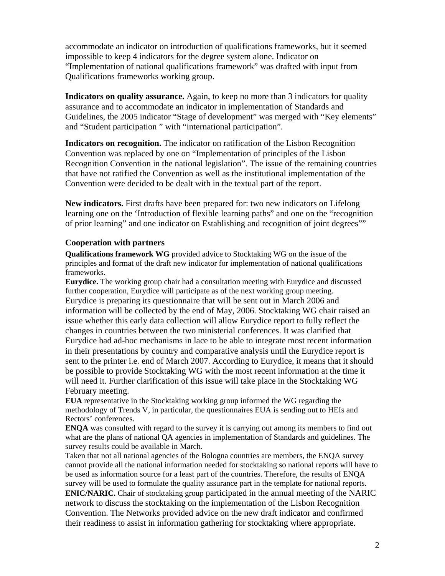accommodate an indicator on introduction of qualifications frameworks, but it seemed impossible to keep 4 indicators for the degree system alone. Indicator on "Implementation of national qualifications framework" was drafted with input from Qualifications frameworks working group.

**Indicators on quality assurance.** Again, to keep no more than 3 indicators for quality assurance and to accommodate an indicator in implementation of Standards and Guidelines, the 2005 indicator "Stage of development" was merged with "Key elements" and "Student participation " with "international participation".

**Indicators on recognition.** The indicator on ratification of the Lisbon Recognition Convention was replaced by one on "Implementation of principles of the Lisbon Recognition Convention in the national legislation". The issue of the remaining countries that have not ratified the Convention as well as the institutional implementation of the Convention were decided to be dealt with in the textual part of the report.

**New indicators.** First drafts have been prepared for: two new indicators on Lifelong learning one on the 'Introduction of flexible learning paths" and one on the "recognition of prior learning" and one indicator on Establishing and recognition of joint degrees""

#### **Cooperation with partners**

**Qualifications framework WG** provided advice to Stocktaking WG on the issue of the principles and format of the draft new indicator for implementation of national qualifications frameworks.

**Eurydice.** The working group chair had a consultation meeting with Eurydice and discussed further cooperation, Eurydice will participate as of the next working group meeting. Eurydice is preparing its questionnaire that will be sent out in March 2006 and information will be collected by the end of May, 2006. Stocktaking WG chair raised an issue whether this early data collection will allow Eurydice report to fully reflect the changes in countries between the two ministerial conferences. It was clarified that Eurydice had ad-hoc mechanisms in lace to be able to integrate most recent information in their presentations by country and comparative analysis until the Eurydice report is sent to the printer i.e. end of March 2007. According to Eurydice, it means that it should be possible to provide Stocktaking WG with the most recent information at the time it will need it. Further clarification of this issue will take place in the Stocktaking WG February meeting.

**EUA** representative in the Stocktaking working group informed the WG regarding the methodology of Trends V, in particular, the questionnaires EUA is sending out to HEIs and Rectors' conferences.

**ENQA** was consulted with regard to the survey it is carrying out among its members to find out what are the plans of national QA agencies in implementation of Standards and guidelines. The survey results could be available in March.

Taken that not all national agencies of the Bologna countries are members, the ENQA survey cannot provide all the national information needed for stocktaking so national reports will have to be used as information source for a least part of the countries. Therefore, the results of ENQA survey will be used to formulate the quality assurance part in the template for national reports. **ENIC/NARIC.** Chair of stocktaking group participated in the annual meeting of the NARIC network to discuss the stocktaking on the implementation of the Lisbon Recognition Convention. The Networks provided advice on the new draft indicator and confirmed their readiness to assist in information gathering for stocktaking where appropriate.